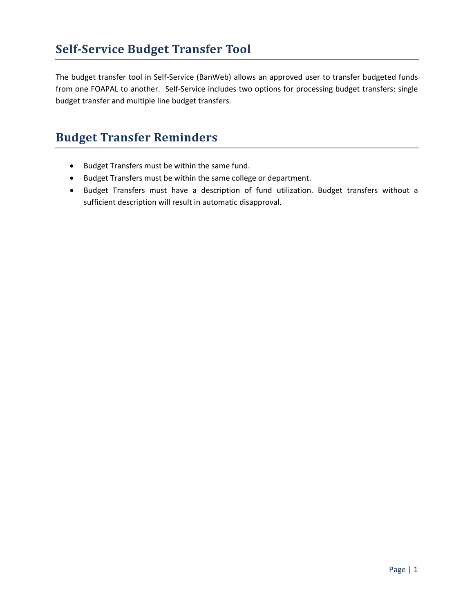The budget transfer tool in Self-Service (BanWeb) allows an approved user to transfer budgeted funds from one FOAPAL to another. Self-Service includes two options for processing budget transfers: single budget transfer and multiple line budget transfers.

# **Budget Transfer Reminders**

- Budget Transfers must be within the same fund.
- Budget Transfers must be within the same college or department.
- Budget Transfers must have a description of fund utilization. Budget transfers without a sufficient description will result in automatic disapproval.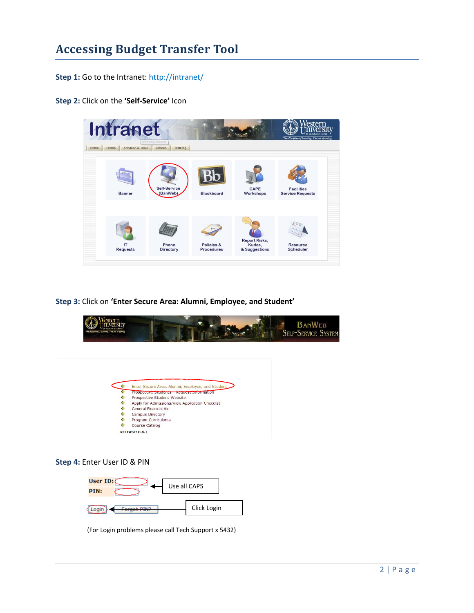## **Accessing Budget Transfer Tool**

**Step 1:** Go to the Intranet: <http://intranet/>

**Step 2:** Click on the **'Self-Service'** Icon



**Step 3:** Click on **'Enter Secure Area: Alumni, Employee, and Student'**



**Step 4:** Enter User ID & PIN



(For Login problems please call Tech Support x 5432)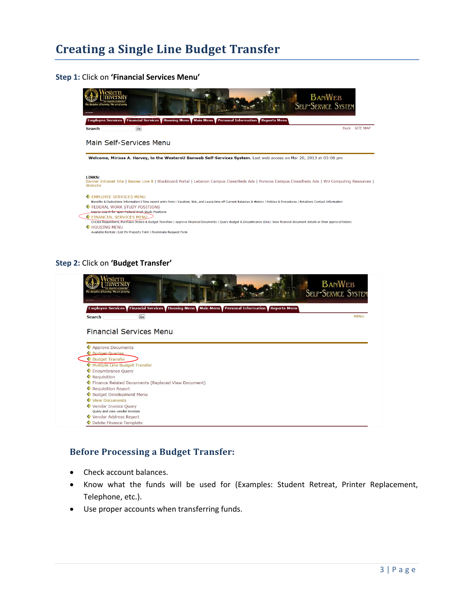# **Creating a Single Line Budget Transfer**

#### **Step 1:** Click on **'Financial Services Menu'**



#### **Step 2:** Click on **'Budget Transfer'**

| tern<br>The discipline of learning. The art of caring                                         | <b>BANWEB</b><br><b>SELF-SERVICE SYSTEM</b> |
|-----------------------------------------------------------------------------------------------|---------------------------------------------|
| Employee Services Financial Services Housing Menu Main Menu Personal Information Reports Menu |                                             |
| Go<br><b>Search</b>                                                                           | <b>MENU</b>                                 |
| <b>Financial Services Menu</b>                                                                |                                             |
| Approve Documents                                                                             |                                             |
| <b>Budget Queries</b>                                                                         |                                             |
| Budget Transfer                                                                               |                                             |
| <b>Multiple Line Budget Transfer</b>                                                          |                                             |
| Encumbrance Query                                                                             |                                             |
| <b>Requisition</b>                                                                            |                                             |
| Finance Related Documents (Replaced View Document)                                            |                                             |
| <b>Requisition Report</b>                                                                     |                                             |
| <b>Budget Development Menu</b>                                                                |                                             |
| View Documents                                                                                |                                             |
| Vendor Invoice Query<br>Ouery and view vendor invoices                                        |                                             |
|                                                                                               |                                             |
| Vendor Address Report                                                                         |                                             |

#### **Before Processing a Budget Transfer:**

- Check account balances.
- Know what the funds will be used for (Examples: Student Retreat, Printer Replacement, Telephone, etc.).
- Use proper accounts when transferring funds.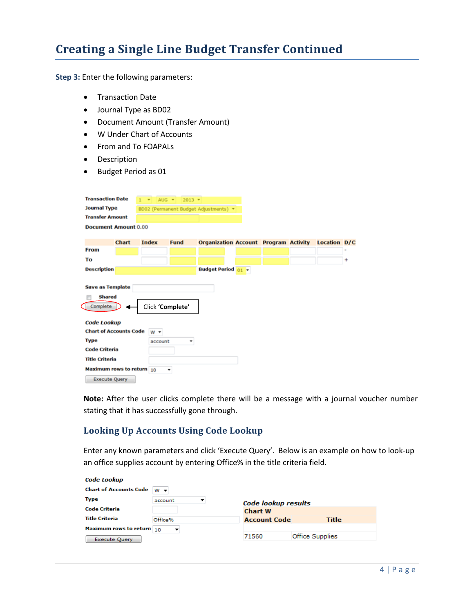## **Creating a Single Line Budget Transfer Continued**

**Step 3:** Enter the following parameters:

- **•** Transaction Date
- Journal Type as BD02
- Document Amount (Transfer Amount)
- W Under Chart of Accounts
- From and To FOAPALs
- Description
- Budget Period as 01

| <b>Transaction Date</b>       |              | 1<br>$\sim$      | AUG $\sqrt{2013}$ $\sqrt{2013}$ |                                              |  |                     |   |
|-------------------------------|--------------|------------------|---------------------------------|----------------------------------------------|--|---------------------|---|
| <b>Journal Type</b>           |              |                  |                                 | BD02 (Permanent Budget Adjustments) =        |  |                     |   |
| <b>Transfer Amount</b>        |              |                  |                                 |                                              |  |                     |   |
| <b>Document Amount 0.00</b>   |              |                  |                                 |                                              |  |                     |   |
|                               |              |                  |                                 |                                              |  |                     |   |
|                               | <b>Chart</b> | <b>Index</b>     | Fund                            | <b>Organization Account Program Activity</b> |  | <b>Location D/C</b> |   |
| From                          |              |                  |                                 |                                              |  |                     |   |
| To                            |              |                  |                                 |                                              |  |                     | ۰ |
| <b>Description</b>            |              |                  |                                 | <b>Budget Period</b> 01 -                    |  |                     |   |
|                               |              |                  |                                 |                                              |  |                     |   |
| <b>Save as Template</b>       |              |                  |                                 |                                              |  |                     |   |
| <b>Shared</b>                 |              |                  |                                 |                                              |  |                     |   |
| Complete                      |              | Click 'Complete' |                                 |                                              |  |                     |   |
|                               |              |                  |                                 |                                              |  |                     |   |
| Code Lookup                   |              |                  |                                 |                                              |  |                     |   |
| <b>Chart of Accounts Code</b> |              | $W -$            |                                 |                                              |  |                     |   |
| <b>Type</b>                   |              | account          |                                 |                                              |  |                     |   |
| <b>Code Criteria</b>          |              |                  |                                 |                                              |  |                     |   |
| <b>Title Criteria</b>         |              |                  |                                 |                                              |  |                     |   |
| Maximum rows to return 10     |              |                  | ٠                               |                                              |  |                     |   |
| <b>Execute Query</b>          |              |                  |                                 |                                              |  |                     |   |
|                               |              |                  |                                 |                                              |  |                     |   |

**Note:** After the user clicks complete there will be a message with a journal voucher number stating that it has successfully gone through.

#### **Looking Up Accounts Using Code Lookup**

Enter any known parameters and click 'Execute Query'. Below is an example on how to look-up an office supplies account by entering Office% in the title criteria field.

| Code Lookup                    |         |                     |                        |
|--------------------------------|---------|---------------------|------------------------|
| <b>Chart of Accounts Code</b>  | $W -$   |                     |                        |
| <b>Type</b>                    | account | Code lookup results |                        |
| <b>Code Criteria</b>           |         | <b>Chart W</b>      |                        |
| <b>Title Criteria</b>          | Office% | <b>Account Code</b> | Title                  |
| Maximum rows to return $_{10}$ |         |                     |                        |
| <b>Execute Query</b>           |         | 71560               | <b>Office Supplies</b> |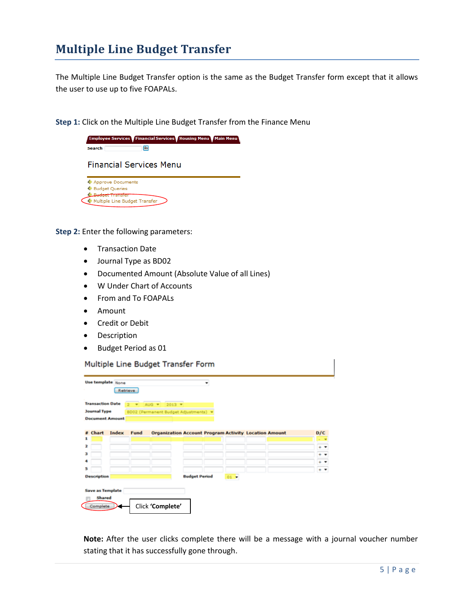### **Multiple Line Budget Transfer**

The Multiple Line Budget Transfer option is the same as the Budget Transfer form except that it allows the user to use up to five FOAPALs.

**Step 1:** Click on the Multiple Line Budget Transfer from the Finance Menu



**Step 2:** Enter the following parameters:

Multiple Line Budget Transfer

- **•** Transaction Date
- Journal Type as BD02
- Documented Amount (Absolute Value of all Lines)
- W Under Chart of Accounts
- From and To FOAPALs
- Amount
- **•** Credit or Debit
- Description
- Budget Period as 01

Multiple Line Budget Transfer Form

|                        | <b>Transaction Date</b> | $\overline{2}$<br>$\sim$ | $2013$ $\star$<br>AUG <b>T</b>                               |                      |      |  |                     |
|------------------------|-------------------------|--------------------------|--------------------------------------------------------------|----------------------|------|--|---------------------|
| <b>Journal Type</b>    |                         |                          | BD02 (Permanent Budget Adjustments) =                        |                      |      |  |                     |
| <b>Document Amount</b> |                         |                          |                                                              |                      |      |  |                     |
|                        |                         |                          |                                                              |                      |      |  |                     |
| <b>Chart</b>           | Index                   | Fund                     | <b>Organization Account Program Activity Location Amount</b> |                      |      |  | D/C                 |
| я                      |                         |                          |                                                              |                      |      |  |                     |
| 2                      |                         |                          |                                                              |                      |      |  | ٠<br>$\blacksquare$ |
| з                      |                         |                          |                                                              |                      |      |  | ٠<br>٠              |
| а                      |                         |                          |                                                              |                      |      |  | ٠                   |
| з                      |                         |                          |                                                              |                      |      |  | $+$ $-$             |
| <b>Description</b>     |                         |                          |                                                              | <b>Budget Period</b> | 01 . |  |                     |

**Note:** After the user clicks complete there will be a message with a journal voucher number stating that it has successfully gone through.